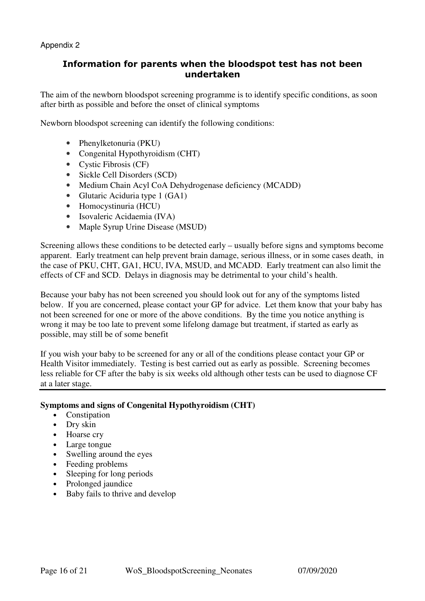# Information for parents when the bloodspot test has not been undertaken

The aim of the newborn bloodspot screening programme is to identify specific conditions, as soon after birth as possible and before the onset of clinical symptoms

Newborn bloodspot screening can identify the following conditions:

- Phenylketonuria (PKU)
- Congenital Hypothyroidism (CHT)
- Cystic Fibrosis (CF)
- Sickle Cell Disorders (SCD)
- Medium Chain Acyl CoA Dehydrogenase deficiency (MCADD)
- Glutaric Aciduria type 1 (GA1)
- Homocystinuria (HCU)
- Isovaleric Acidaemia (IVA)
- Maple Syrup Urine Disease (MSUD)

Screening allows these conditions to be detected early – usually before signs and symptoms become apparent. Early treatment can help prevent brain damage, serious illness, or in some cases death, in the case of PKU, CHT, GA1, HCU, IVA, MSUD, and MCADD. Early treatment can also limit the effects of CF and SCD. Delays in diagnosis may be detrimental to your child's health.

Because your baby has not been screened you should look out for any of the symptoms listed below. If you are concerned, please contact your GP for advice. Let them know that your baby has not been screened for one or more of the above conditions. By the time you notice anything is wrong it may be too late to prevent some lifelong damage but treatment, if started as early as possible, may still be of some benefit

If you wish your baby to be screened for any or all of the conditions please contact your GP or Health Visitor immediately. Testing is best carried out as early as possible. Screening becomes less reliable for CF after the baby is six weeks old although other tests can be used to diagnose CF at a later stage.

#### **Symptoms and signs of Congenital Hypothyroidism (CHT)**

- Constination
- Dry skin
- Hoarse cry
- Large tongue
- Swelling around the eyes
- Feeding problems
- Sleeping for long periods
- Prolonged jaundice
- Baby fails to thrive and develop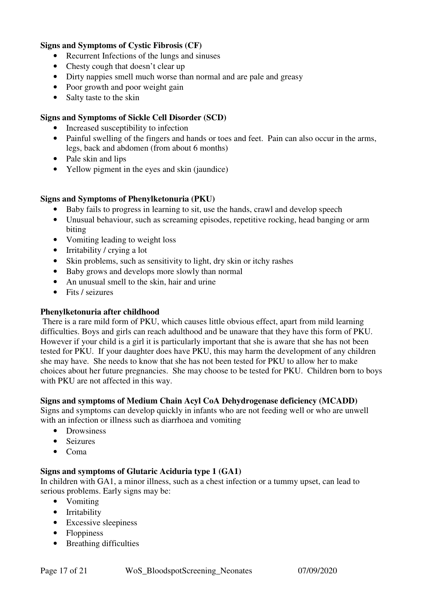### **Signs and Symptoms of Cystic Fibrosis (CF)**

- Recurrent Infections of the lungs and sinuses
- Chesty cough that doesn't clear up
- Dirty nappies smell much worse than normal and are pale and greasy
- Poor growth and poor weight gain
- Salty taste to the skin

## **Signs and Symptoms of Sickle Cell Disorder (SCD)**

- Increased susceptibility to infection
- Painful swelling of the fingers and hands or toes and feet. Pain can also occur in the arms, legs, back and abdomen (from about 6 months)
- Pale skin and lips
- Yellow pigment in the eyes and skin (jaundice)

#### **Signs and Symptoms of Phenylketonuria (PKU)**

- Baby fails to progress in learning to sit, use the hands, crawl and develop speech
- Unusual behaviour, such as screaming episodes, repetitive rocking, head banging or arm biting
- Vomiting leading to weight loss
- Irritability / crying a lot
- Skin problems, such as sensitivity to light, dry skin or itchy rashes
- Baby grows and develops more slowly than normal
- An unusual smell to the skin, hair and urine
- Fits / seizures

#### **Phenylketonuria after childhood**

 There is a rare mild form of PKU, which causes little obvious effect, apart from mild learning difficulties. Boys and girls can reach adulthood and be unaware that they have this form of PKU. However if your child is a girl it is particularly important that she is aware that she has not been tested for PKU. If your daughter does have PKU, this may harm the development of any children she may have. She needs to know that she has not been tested for PKU to allow her to make choices about her future pregnancies. She may choose to be tested for PKU. Children born to boys with PKU are not affected in this way.

#### **Signs and symptoms of Medium Chain Acyl CoA Dehydrogenase deficiency (MCADD)**

Signs and symptoms can develop quickly in infants who are not feeding well or who are unwell with an infection or illness such as diarrhoea and vomiting

- Drowsiness
- Seizures
- Coma

#### **Signs and symptoms of Glutaric Aciduria type 1 (GA1)**

In children with GA1, a minor illness, such as a chest infection or a tummy upset, can lead to serious problems. Early signs may be:

- Vomiting
- Irritability
- Excessive sleepiness
- Floppiness
- Breathing difficulties